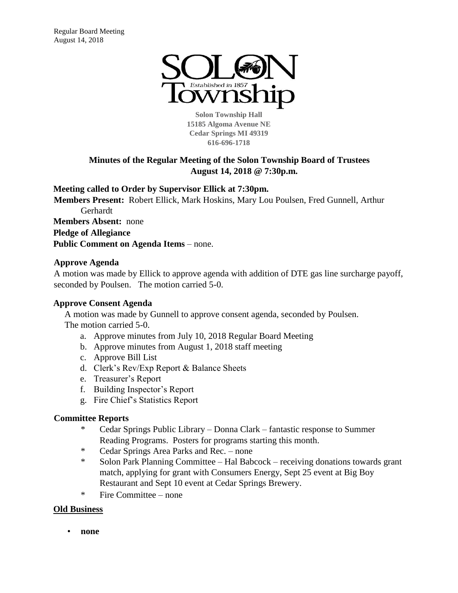

**Solon Township Hall 15185 Algoma Avenue NE Cedar Springs MI 49319 616-696-1718** 

# **Minutes of the Regular Meeting of the Solon Township Board of Trustees August 14, 2018 @ 7:30p.m.**

### **Meeting called to Order by Supervisor Ellick at 7:30pm.**

**Members Present:** Robert Ellick, Mark Hoskins, Mary Lou Poulsen, Fred Gunnell, Arthur Gerhardt **Members Absent:** none **Pledge of Allegiance Public Comment on Agenda Items** – none.

### **Approve Agenda**

A motion was made by Ellick to approve agenda with addition of DTE gas line surcharge payoff, seconded by Poulsen. The motion carried 5-0.

## **Approve Consent Agenda**

A motion was made by Gunnell to approve consent agenda, seconded by Poulsen. The motion carried 5-0.

- a. Approve minutes from July 10, 2018 Regular Board Meeting
- b. Approve minutes from August 1, 2018 staff meeting
- c. Approve Bill List
- d. Clerk's Rev/Exp Report & Balance Sheets
- e. Treasurer's Report
- f. Building Inspector's Report
- g. Fire Chief's Statistics Report

#### **Committee Reports**

- \* Cedar Springs Public Library Donna Clark fantastic response to Summer Reading Programs. Posters for programs starting this month.
- \* Cedar Springs Area Parks and Rec. none
- \* Solon Park Planning Committee Hal Babcock receiving donations towards grant match, applying for grant with Consumers Energy, Sept 25 event at Big Boy Restaurant and Sept 10 event at Cedar Springs Brewery.
- \* Fire Committee none

#### **Old Business**

• **none**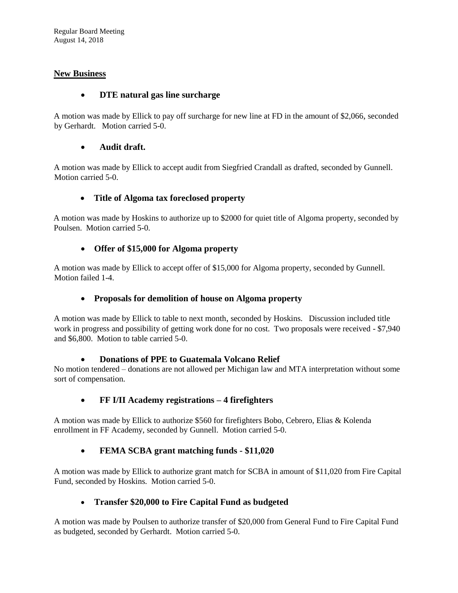Regular Board Meeting August 14, 2018

## **New Business**

### • **DTE natural gas line surcharge**

A motion was made by Ellick to pay off surcharge for new line at FD in the amount of \$2,066, seconded by Gerhardt. Motion carried 5-0.

#### • **Audit draft.**

A motion was made by Ellick to accept audit from Siegfried Crandall as drafted, seconded by Gunnell. Motion carried 5-0.

### • **Title of Algoma tax foreclosed property**

A motion was made by Hoskins to authorize up to \$2000 for quiet title of Algoma property, seconded by Poulsen. Motion carried 5-0.

### • **Offer of \$15,000 for Algoma property**

A motion was made by Ellick to accept offer of \$15,000 for Algoma property, seconded by Gunnell. Motion failed 1-4.

#### • **Proposals for demolition of house on Algoma property**

A motion was made by Ellick to table to next month, seconded by Hoskins. Discussion included title work in progress and possibility of getting work done for no cost. Two proposals were received - \$7,940 and \$6,800. Motion to table carried 5-0.

#### • **Donations of PPE to Guatemala Volcano Relief**

No motion tendered – donations are not allowed per Michigan law and MTA interpretation without some sort of compensation.

## • **FF I/II Academy registrations – 4 firefighters**

A motion was made by Ellick to authorize \$560 for firefighters Bobo, Cebrero, Elias & Kolenda enrollment in FF Academy, seconded by Gunnell. Motion carried 5-0.

## • **FEMA SCBA grant matching funds - \$11,020**

A motion was made by Ellick to authorize grant match for SCBA in amount of \$11,020 from Fire Capital Fund, seconded by Hoskins. Motion carried 5-0.

## • **Transfer \$20,000 to Fire Capital Fund as budgeted**

A motion was made by Poulsen to authorize transfer of \$20,000 from General Fund to Fire Capital Fund as budgeted, seconded by Gerhardt. Motion carried 5-0.